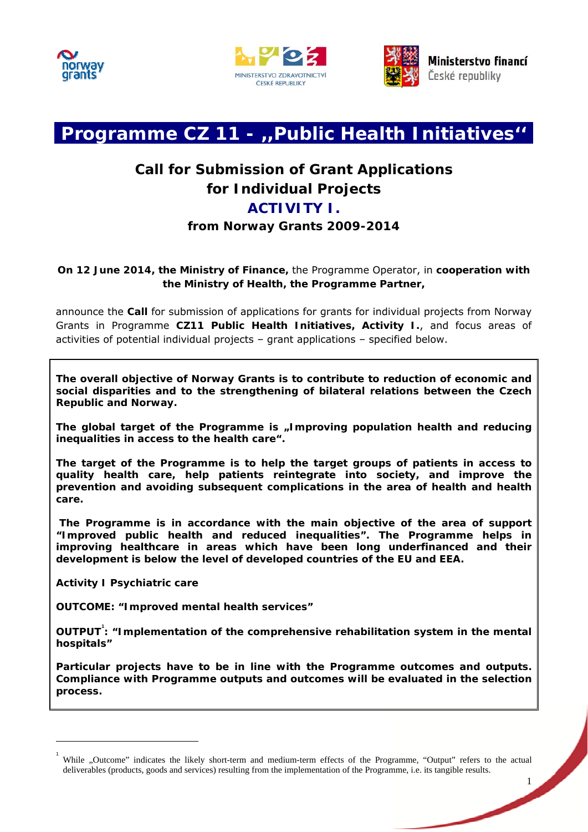





1

# **Programme CZ 11 - ,,Public Health Initiatives''**

# **Call for Submission of Grant Applications for Individual Projects ACTIVITY I.**

# **from Norway Grants 2009-2014**

# **On 12 June 2014, the Ministry of Finance,** the Programme Operator, in **cooperation with the Ministry of Health, the Programme Partner,**

announce the **Call** for submission of applications for grants for individual projects from Norway Grants in Programme **CZ11 Public Health Initiatives, Activity I.**, and focus areas of activities of potential individual projects – grant applications – specified below.

**The overall objective of Norway Grants is to contribute to reduction of economic and social disparities and to the strengthening of bilateral relations between the Czech Republic and Norway.** 

**The global target of the Programme is "Improving population health and reducing inequalities in access to the health care".** 

**The target of the Programme is to help the target groups of patients in access to quality health care, help patients reintegrate into society, and improve the prevention and avoiding subsequent complications in the area of health and health care.** 

 **The Programme is in accordance with the main objective of the area of support "Improved public health and reduced inequalities". The Programme helps in improving healthcare in areas which have been long underfinanced and their development is below the level of developed countries of the EU and EEA.** 

**Activity I Psychiatric care** 

 $\overline{a}$ 

**OUTCOME: "Improved mental health services"** 

**OUTPUT<sup>1</sup> : "Implementation of the comprehensive rehabilitation system in the mental hospitals"** 

**Particular projects have to be in line with the Programme outcomes and outputs. Complia[n](#page-0-0)ce with Programme outputs and outcomes will be evaluated in the selection process.** 

<span id="page-0-0"></span><sup>1</sup> While "Outcome" indicates the likely short-term and medium-term effects of the Programme, "Output" refers to the actual deliverables (products, goods and services) resulting from the implementation of the Programme, i.e. its tangible results.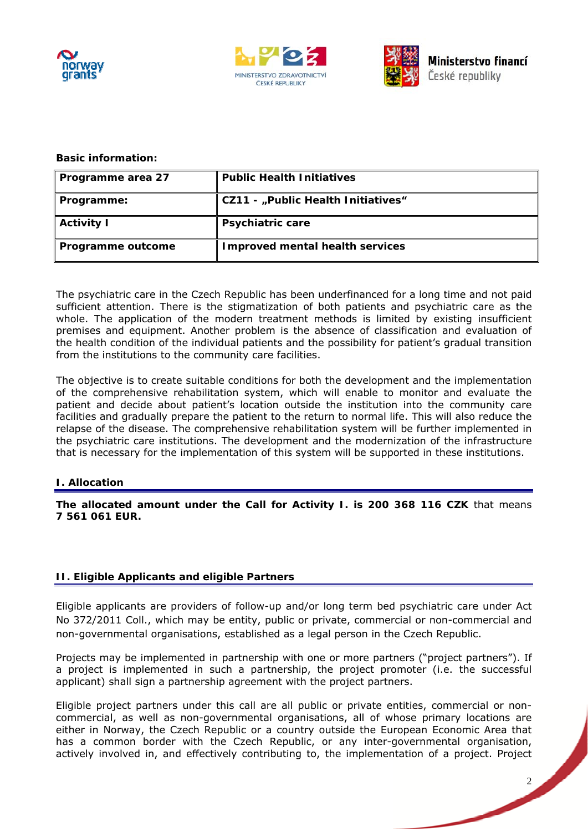





#### **Basic information:**

| Programme area 27 | <b>Public Health Initiatives</b>       |
|-------------------|----------------------------------------|
| Programme:        | CZ11 - "Public Health Initiatives"     |
| <b>Activity I</b> | <b>Psychiatric care</b>                |
| Programme outcome | <b>Improved mental health services</b> |

The psychiatric care in the Czech Republic has been underfinanced for a long time and not paid sufficient attention. There is the stigmatization of both patients and psychiatric care as the whole. The application of the modern treatment methods is limited by existing insufficient premises and equipment. Another problem is the absence of classification and evaluation of the health condition of the individual patients and the possibility for patient's gradual transition from the institutions to the community care facilities.

The objective is to create suitable conditions for both the development and the implementation of the comprehensive rehabilitation system, which will enable to monitor and evaluate the patient and decide about patient's location outside the institution into the community care facilities and gradually prepare the patient to the return to normal life. This will also reduce the relapse of the disease. The comprehensive rehabilitation system will be further implemented in the psychiatric care institutions. The development and the modernization of the infrastructure that is necessary for the implementation of this system will be supported in these institutions.

#### **I. Allocation**

**The allocated amount under the Call for Activity I. is 200 368 116 CZK** that means **7 561 061 EUR.** 

# **II. Eligible Applicants and eligible Partners**

Eligible applicants are providers of follow-up and/or long term bed psychiatric care under Act No 372/2011 Coll., which may be entity, public or private, commercial or non-commercial and non-governmental organisations, established as a legal person in the Czech Republic.

Projects may be implemented in partnership with one or more partners ("project partners"). If a project is implemented in such a partnership, the project promoter (i.e. the successful applicant) shall sign a partnership agreement with the project partners.

Eligible project partners under this call are all public or private entities, commercial or noncommercial, as well as non-governmental organisations, all of whose primary locations are either in Norway, the Czech Republic or a country outside the European Economic Area that has a common border with the Czech Republic, or any inter-governmental organisation, actively involved in, and effectively contributing to, the implementation of a project. Project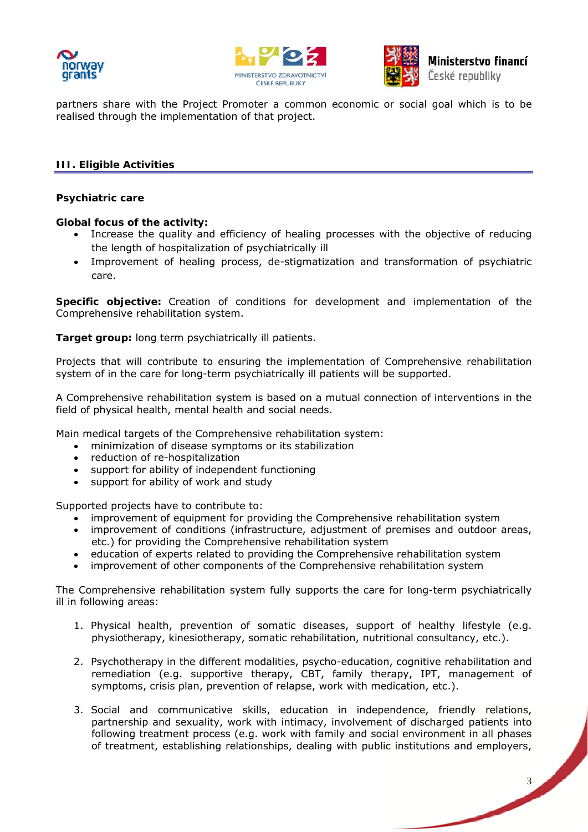





partners share with the Project Promoter a common economic or social goal which is to be realised through the implementation of that project.

## **III. Eligible Activities**

#### **Psychiatric care**

#### **Global focus of the activity:**

- Increase the quality and efficiency of healing processes with the objective of reducing the length of hospitalization of psychiatrically ill
- Improvement of healing process, de-stigmatization and transformation of psychiatric care.

**Specific objective:** Creation of conditions for development and implementation of the Comprehensive rehabilitation system.

**Target group:** long term psychiatrically ill patients.

Projects that will contribute to ensuring the implementation of Comprehensive rehabilitation system of in the care for long-term psychiatrically ill patients will be supported.

A Comprehensive rehabilitation system is based on a mutual connection of interventions in the field of physical health, mental health and social needs.

Main medical targets of the Comprehensive rehabilitation system:

- minimization of disease symptoms or its stabilization
- reduction of re-hospitalization
- support for ability of independent functioning
- support for ability of work and study

Supported projects have to contribute to:

- improvement of equipment for providing the Comprehensive rehabilitation system
- improvement of conditions (infrastructure, adjustment of premises and outdoor areas, etc.) for providing the Comprehensive rehabilitation system
- education of experts related to providing the Comprehensive rehabilitation system
- improvement of other components of the Comprehensive rehabilitation system

The Comprehensive rehabilitation system fully supports the care for long-term psychiatrically ill in following areas:

- 1. Physical health, prevention of somatic diseases, support of healthy lifestyle (e.g. physiotherapy, kinesiotherapy, somatic rehabilitation, nutritional consultancy, etc.).
- 2. Psychotherapy in the different modalities, psycho-education, cognitive rehabilitation and remediation (e.g. supportive therapy, CBT, family therapy, IPT, management of symptoms, crisis plan, prevention of relapse, work with medication, etc.).
- 3. Social and communicative skills, education in independence, friendly relations, partnership and sexuality, work with intimacy, involvement of discharged patients into following treatment process (e.g. work with family and social environment in all phases of treatment, establishing relationships, dealing with public institutions and employers,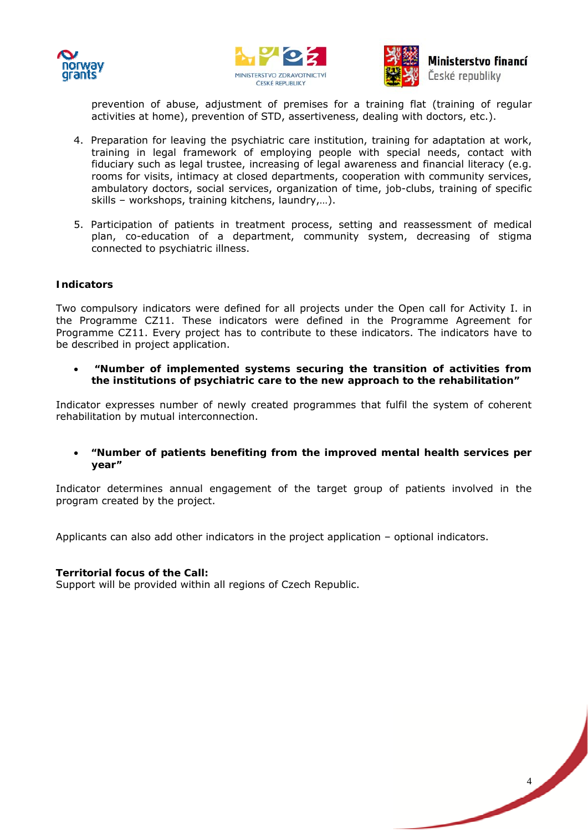





# Ministerstvo financí České republiky

4

prevention of abuse, adjustment of premises for a training flat (training of regular activities at home), prevention of STD, assertiveness, dealing with doctors, etc.).

- 4. Preparation for leaving the psychiatric care institution, training for adaptation at work, training in legal framework of employing people with special needs, contact with fiduciary such as legal trustee, increasing of legal awareness and financial literacy (e.g. rooms for visits, intimacy at closed departments, cooperation with community services, ambulatory doctors, social services, organization of time, job-clubs, training of specific skills – workshops, training kitchens, laundry,…).
- 5. Participation of patients in treatment process, setting and reassessment of medical plan, co-education of a department, community system, decreasing of stigma connected to psychiatric illness.

#### **Indicators**

Two compulsory indicators were defined for all projects under the Open call for Activity I. in the Programme CZ11. These indicators were defined in the Programme Agreement for Programme CZ11. Every project has to contribute to these indicators. The indicators have to be described in project application.

 **"Number of implemented systems securing the transition of activities from the institutions of psychiatric care to the new approach to the rehabilitation"** 

Indicator expresses number of newly created programmes that fulfil the system of coherent rehabilitation by mutual interconnection.

 **"Number of patients benefiting from the improved mental health services per year"** 

Indicator determines annual engagement of the target group of patients involved in the program created by the project.

Applicants can also add other indicators in the project application – optional indicators.

#### **Territorial focus of the Call:**

Support will be provided within all regions of Czech Republic.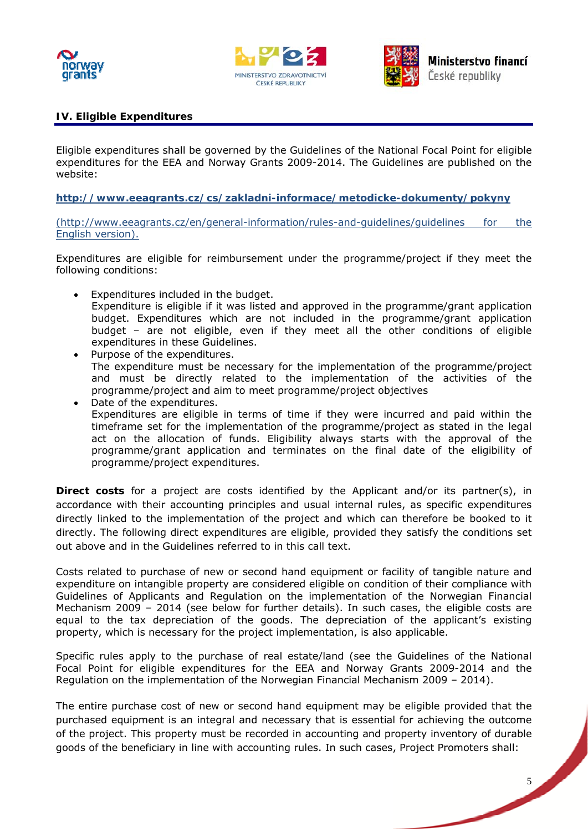





# **IV. Eligible Expenditures**

Eligible expenditures shall be governed by the Guidelines of the National Focal Point for eligible expenditures for the EEA and Norway Grants 2009-2014. The Guidelines are published on the website:

**http://www.eeagrants.cz/cs/zakladni-informace/metodicke-dokumenty/pokyny**

(http://www.eeagrants.cz/en/general-information/rules-and-guidelines/guidelines for the English version).

Expenditures are eligible for reimbursement under the programme/project if they meet the following conditions:

- Expenditures included in the budget. Expenditure is eligible if it was listed and approved in the programme/grant application budget. Expenditures which are not included in the programme/grant application budget – are not eligible, even if they meet all the other conditions of eligible expenditures in these Guidelines.
- Purpose of the expenditures. The expenditure must be necessary for the implementation of the programme/project and must be directly related to the implementation of the activities of the programme/project and aim to meet programme/project objectives
- Date of the expenditures. Expenditures are eligible in terms of time if they were incurred and paid within the timeframe set for the implementation of the programme/project as stated in the legal act on the allocation of funds. Eligibility always starts with the approval of the programme/grant application and terminates on the final date of the eligibility of programme/project expenditures.

**Direct costs** for a project are costs identified by the Applicant and/or its partner(s), in accordance with their accounting principles and usual internal rules, as specific expenditures directly linked to the implementation of the project and which can therefore be booked to it directly. The following direct expenditures are eligible, provided they satisfy the conditions set out above and in the Guidelines referred to in this call text.

Costs related to purchase of new or second hand equipment or facility of tangible nature and expenditure on intangible property are considered eligible on condition of their compliance with Guidelines of Applicants and Regulation on the implementation of the Norwegian Financial Mechanism 2009 – 2014 (see below for further details). In such cases, the eligible costs are equal to the tax depreciation of the goods. The depreciation of the applicant's existing property, which is necessary for the project implementation, is also applicable.

Specific rules apply to the purchase of real estate/land (see the Guidelines of the National Focal Point for eligible expenditures for the EEA and Norway Grants 2009-2014 and the Regulation on the implementation of the Norwegian Financial Mechanism 2009 – 2014).

The entire purchase cost of new or second hand equipment may be eligible provided that the purchased equipment is an integral and necessary that is essential for achieving the outcome of the project. This property must be recorded in accounting and property inventory of durable goods of the beneficiary in line with accounting rules. In such cases, Project Promoters shall:

5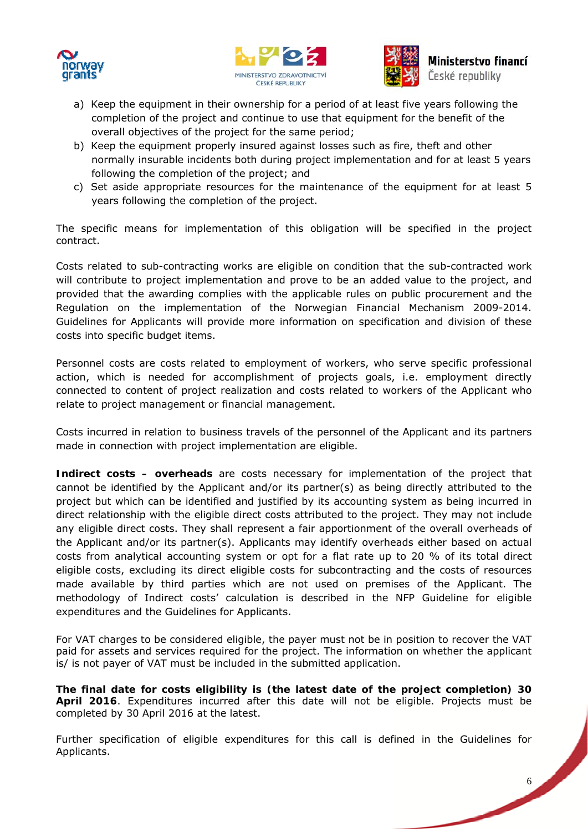





- a) Keep the equipment in their ownership for a period of at least five years following the completion of the project and continue to use that equipment for the benefit of the overall objectives of the project for the same period;
- b) Keep the equipment properly insured against losses such as fire, theft and other normally insurable incidents both during project implementation and for at least 5 years following the completion of the project; and
- c) Set aside appropriate resources for the maintenance of the equipment for at least 5 years following the completion of the project.

The specific means for implementation of this obligation will be specified in the project contract.

Costs related to sub-contracting works are eligible on condition that the sub-contracted work will contribute to project implementation and prove to be an added value to the project, and provided that the awarding complies with the applicable rules on public procurement and the Regulation on the implementation of the Norwegian Financial Mechanism 2009-2014. Guidelines for Applicants will provide more information on specification and division of these costs into specific budget items.

Personnel costs are costs related to employment of workers, who serve specific professional action, which is needed for accomplishment of projects goals, i.e. employment directly connected to content of project realization and costs related to workers of the Applicant who relate to project management or financial management.

Costs incurred in relation to business travels of the personnel of the Applicant and its partners made in connection with project implementation are eligible.

**Indirect costs – overheads** are costs necessary for implementation of the project that cannot be identified by the Applicant and/or its partner(s) as being directly attributed to the project but which can be identified and justified by its accounting system as being incurred in direct relationship with the eligible direct costs attributed to the project. They may not include any eligible direct costs. They shall represent a fair apportionment of the overall overheads of the Applicant and/or its partner(s). Applicants may identify overheads either based on actual costs from analytical accounting system or opt for a flat rate up to 20 % of its total direct eligible costs, excluding its direct eligible costs for subcontracting and the costs of resources made available by third parties which are not used on premises of the Applicant. The methodology of Indirect costs' calculation is described in the NFP Guideline for eligible expenditures and the Guidelines for Applicants.

For VAT charges to be considered eligible, the payer must not be in position to recover the VAT paid for assets and services required for the project. The information on whether the applicant is/ is not payer of VAT must be included in the submitted application.

**The final date for costs eligibility is (the latest date of the project completion) 30 April 2016**. Expenditures incurred after this date will not be eligible. Projects must be completed by 30 April 2016 at the latest.

Further specification of eligible expenditures for this call is defined in the Guidelines for Applicants.

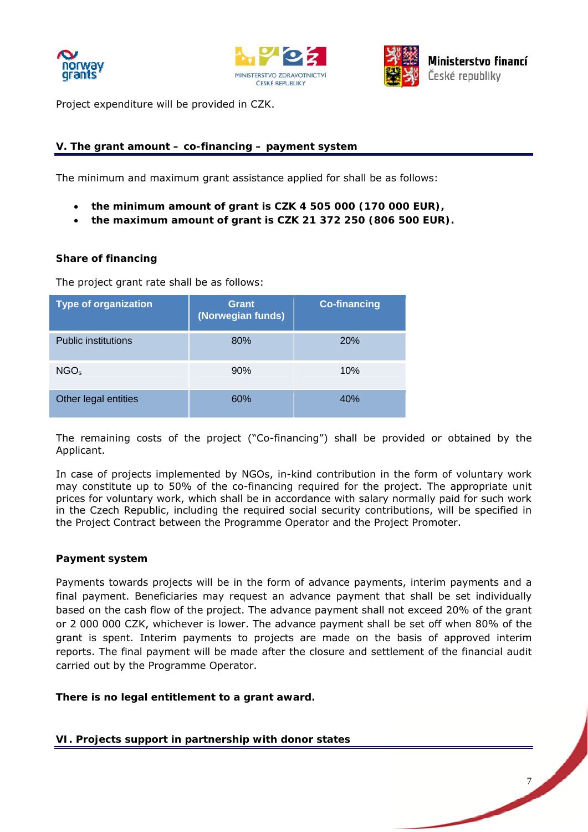





7

Project expenditure will be provided in CZK.

# **V. The grant amount – co-financing – payment system**

The minimum and maximum grant assistance applied for shall be as follows:

- **the minimum amount of grant is CZK 4 505 000 (170 000 EUR),**
- **the maximum amount of grant is CZK 21 372 250 (806 500 EUR).**

#### **Share of financing**

The project grant rate shall be as follows:

| <b>Type of organization</b> | Grant<br>(Norwegian funds) | <b>Co-financing</b> |
|-----------------------------|----------------------------|---------------------|
| <b>Public institutions</b>  | 80%                        | <b>20%</b>          |
| NGO <sub>s</sub>            | 90%                        | 10%                 |
| Other legal entities        | 60%                        | 40%                 |

The remaining costs of the project ("Co-financing") shall be provided or obtained by the Applicant.

In case of projects implemented by NGOs, in-kind contribution in the form of voluntary work may constitute up to 50% of the co-financing required for the project. The appropriate unit prices for voluntary work, which shall be in accordance with salary normally paid for such work in the Czech Republic, including the required social security contributions, will be specified in the Project Contract between the Programme Operator and the Project Promoter.

#### **Payment system**

Payments towards projects will be in the form of advance payments, interim payments and a final payment. Beneficiaries may request an advance payment that shall be set individually based on the cash flow of the project. The advance payment shall not exceed 20% of the grant or 2 000 000 CZK, whichever is lower. The advance payment shall be set off when 80% of the grant is spent. Interim payments to projects are made on the basis of approved interim reports. The final payment will be made after the closure and settlement of the financial audit carried out by the Programme Operator.

**There is no legal entitlement to a grant award.**

**VI. Projects support in partnership with donor states**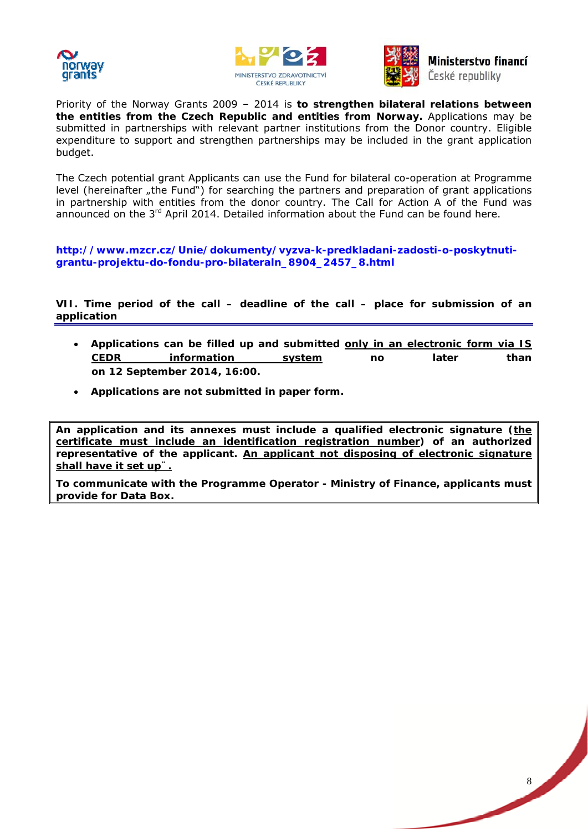





Ministerstvo financí České republiky

Priority of the Norway Grants 2009 – 2014 is **to strengthen bilateral relations between the entities from the Czech Republic and entities from Norway.** Applications may be submitted in partnerships with relevant partner institutions from the Donor country. Eligible expenditure to support and strengthen partnerships may be included in the grant application budget.

The Czech potential grant Applicants can use the Fund for bilateral co-operation at Programme level (hereinafter "the Fund") for searching the partners and preparation of grant applications in partnership with entities from the donor country. The Call for Action A of the Fund was announced on the  $3<sup>rd</sup>$  April 2014. Detailed information about the Fund can be found here.

**http://www.mzcr.cz/Unie/dokumenty/vyzva-k-predkladani-zadosti-o-poskytnutigrantu-projektu-do-fondu-pro-bilateraln\_8904\_2457\_8.html** 

**[VII. Time period of the call – deadline of the call – place for submission of](http://www.mzcr.cz/Unie/dokumenty/vyzva-k-predkladani-zadosti-o-poskytnuti-grantu-projektu-do-fondu-pro-bilateraln_8904_2457_8.html) an application** 

- **Applications can be filled up and submitted only in an electronic form via IS CEDR information system no later than on 12 September 2014, 16:00.**
- **Applications are not submitted in paper form.**

**An application and its annexes must include a qualified electronic signature (the certificate must include an identification registration number) of an authorized representative of the applicant. An applicant not disposing of electronic signature shall have it set up¨.**

**To communicate with the Programme Operator - Ministry of Finance, applicants must provide for Data Box.** 

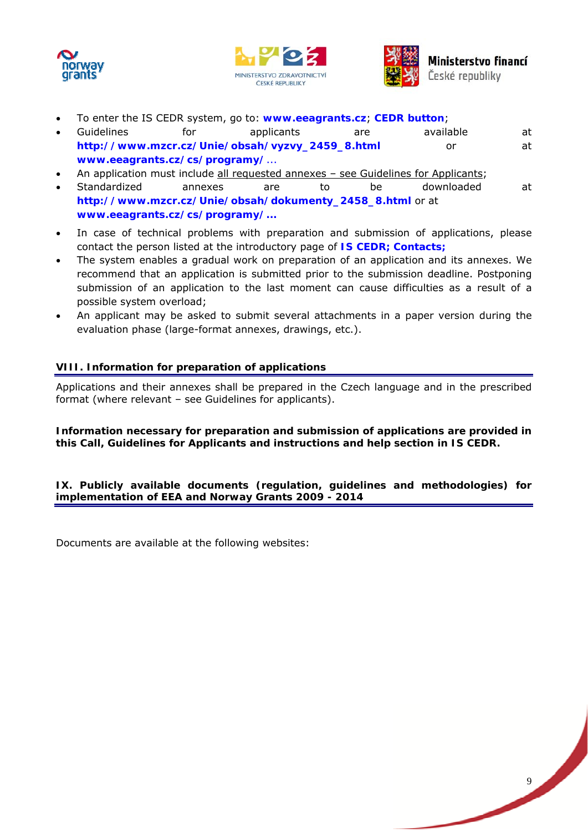





- To enter the IS CEDR system, go to: **www.eeagrants.cz**; **CEDR button**;
- Guidelines for applicants are available at **http://www.mzcr.cz/Unie/obsah/vyzvy\_2459\_8.html** or at **www.eeagrants.cz/cs/programy/**...
- An application must include all requested annexes see Guidelines for Applicants;
- Standardized annexes are to be downloaded at **[http://www.mzcr.cz/Unie/obsah/dokumenty\\_2458\\_8](http://www.mzcr.cz/Unie/obsah/vyzvy_2459_8.html).html** or at **[www.eeagrants.cz/cs/programy/.](http://www.eeagrants.cz/cs/programy/)..**
- In case of technical problems with preparation and submission of applications, please [contact the person listed at the introductory page of](http://www.mzcr.cz/Unie/obsah/dokumenty_2458_8.html) **IS CEDR; Contacts;**
- [The system enables a gradual work o](http://www.eeagrants.cz/cs/programy/)n preparation of an application and its annexes. We recommend that an application is submitted prior to the submission deadline. Postponing submission of an application to the last moment can cause difficulties as a result of a possible system overload;
- An applicant may be asked to submit several attachments in a paper version during the evaluation phase (large-format annexes, drawings, etc.).

# **VIII. Information for preparation of applications**

Applications and their annexes shall be prepared in the Czech language and in the prescribed format (where relevant – see Guidelines for applicants).

**Information necessary for preparation and submission of applications are provided in this Call, Guidelines for Applicants and instructions and help section in IS CEDR.** 

**IX. Publicly available documents (regulation, guidelines and methodologies) for implementation of EEA and Norway Grants 2009 - 2014** 

Documents are available at the following websites:

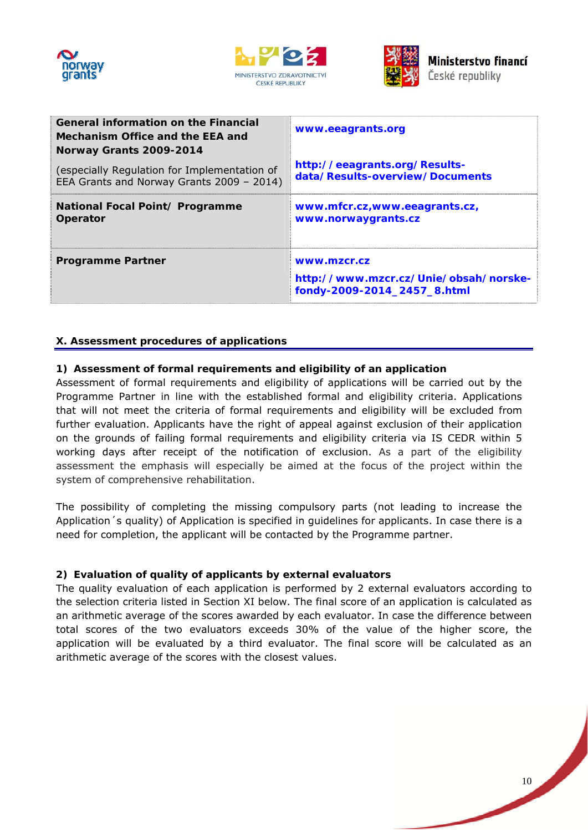





| <b>General information on the Financial</b><br>Mechanism Office and the EEA and<br>Norway Grants 2009-2014 | www.eeagrants.org                                                                   |
|------------------------------------------------------------------------------------------------------------|-------------------------------------------------------------------------------------|
| (especially Regulation for Implementation of                                                               | http://eeagrants.org/Results-                                                       |
| EEA Grants and Norway Grants 2009 - 2014)                                                                  | data/Results-overview/Documents                                                     |
| National Focal Point/ Programme                                                                            | www.mfcr.cz,www.eeagrants.cz,                                                       |
| Operator                                                                                                   | www.norwaygrants.cz                                                                 |
| <b>Programme Partner</b>                                                                                   | www.mzcr.cz<br>http://www.mzcr.cz/Unie/obsah/norske-<br>fondy-2009-2014_2457_8.html |

# **X. Assessment procedures of applications**

# **1) Assessment of formal requirements and eligibility of an application**

Assessment of formal requirements and eligibility of applications will be carried out by the Programme Partner in line with the established formal and eligibility criteria. Applications that will not meet the criteria of formal requirements and eligibility will be excluded from further evaluation. Applicants have the right of appeal against exclusion of their application on the grounds of failing formal requirements and eligibility criteria via IS CEDR within 5 working days after receipt of the notification of exclusion. As a part of the eligibility assessment the emphasis will especially be aimed at the focus of the project within the system of comprehensive rehabilitation.

The possibility of completing the missing compulsory parts (not leading to increase the Application´s quality) of Application is specified in guidelines for applicants. In case there is a need for completion, the applicant will be contacted by the Programme partner.

# **2) Evaluation of quality of applicants by external evaluators**

The quality evaluation of each application is performed by 2 external evaluators according to the selection criteria listed in Section XI below. The final score of an application is calculated as an arithmetic average of the scores awarded by each evaluator. In case the difference between total scores of the two evaluators exceeds 30% of the value of the higher score, the application will be evaluated by a third evaluator. The final score will be calculated as an arithmetic average of the scores with the closest values.

10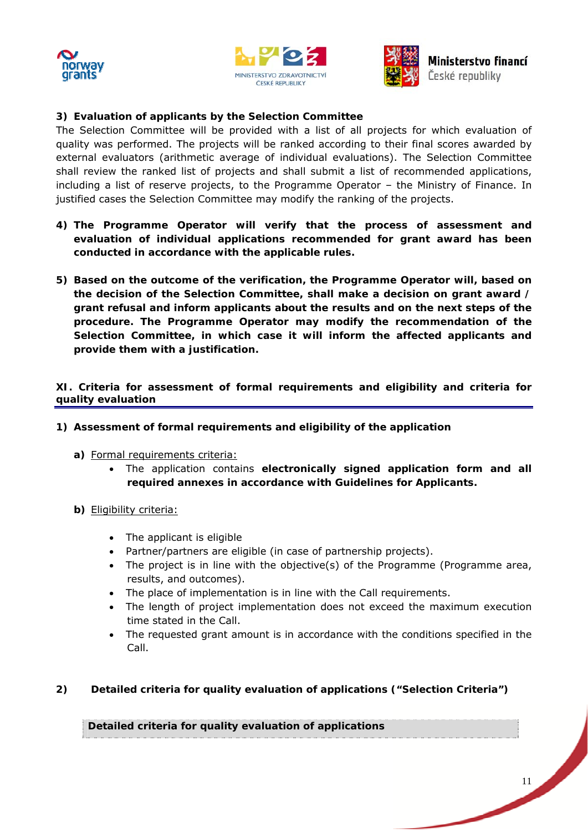





# **3) Evaluation of applicants by the Selection Committee**

The Selection Committee will be provided with a list of all projects for which evaluation of quality was performed. The projects will be ranked according to their final scores awarded by external evaluators (arithmetic average of individual evaluations). The Selection Committee shall review the ranked list of projects and shall submit a list of recommended applications, including a list of reserve projects, to the Programme Operator – the Ministry of Finance. In justified cases the Selection Committee may modify the ranking of the projects.

- **4) The Programme Operator will verify that the process of assessment and evaluation of individual applications recommended for grant award has been conducted in accordance with the applicable rules.**
- **5) Based on the outcome of the verification, the Programme Operator will, based on the decision of the Selection Committee, shall make a decision on grant award / grant refusal and inform applicants about the results and on the next steps of the procedure. The Programme Operator may modify the recommendation of the Selection Committee, in which case it will inform the affected applicants and provide them with a justification.**

**XI. Criteria for assessment of formal requirements and eligibility and criteria for quality evaluation** 

- **1) Assessment of formal requirements and eligibility of the application** 
	- **a)** Formal requirements criteria:
		- The application contains **electronically signed application form and all required annexes in accordance with Guidelines for Applicants.**
	- **b)** Eligibility criteria:
		- The applicant is eligible
		- Partner/partners are eligible (in case of partnership projects).
		- The project is in line with the objective(s) of the Programme (Programme area, results, and outcomes).
		- The place of implementation is in line with the Call requirements.
		- The length of project implementation does not exceed the maximum execution time stated in the Call.
		- The requested grant amount is in accordance with the conditions specified in the Call.

# **2) Detailed criteria for quality evaluation of applications ("Selection Criteria")**

**Detailed criteria for quality evaluation of applications**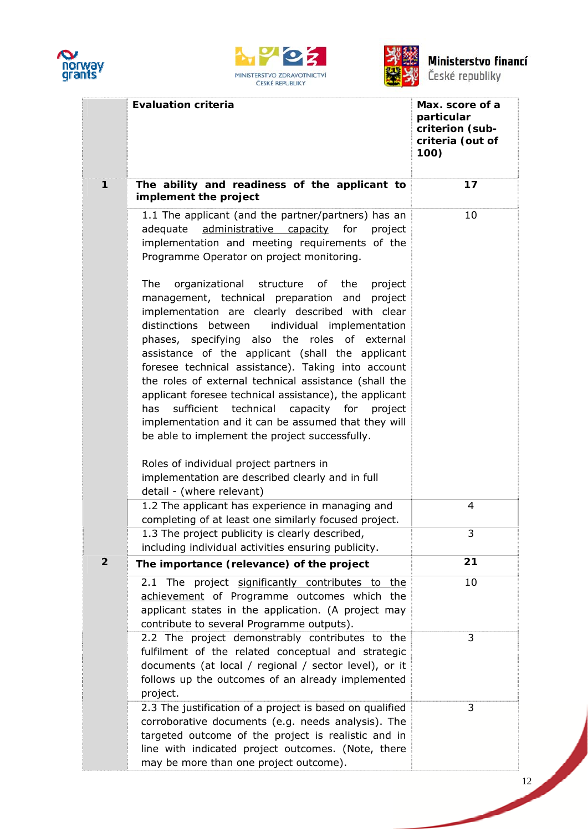





| České republiky |
|-----------------|
|                 |

|                | <b>Evaluation criteria</b>                                                                                                                                                                                                                                                                                                                                                                                                                                                                                                                                                                                                                                                                                                                           | Max. score of a<br>particular<br>criterion (sub-<br>criteria (out of<br>100) |
|----------------|------------------------------------------------------------------------------------------------------------------------------------------------------------------------------------------------------------------------------------------------------------------------------------------------------------------------------------------------------------------------------------------------------------------------------------------------------------------------------------------------------------------------------------------------------------------------------------------------------------------------------------------------------------------------------------------------------------------------------------------------------|------------------------------------------------------------------------------|
| $\mathbf{1}$   | The ability and readiness of the applicant to<br>implement the project                                                                                                                                                                                                                                                                                                                                                                                                                                                                                                                                                                                                                                                                               | 17                                                                           |
|                | 1.1 The applicant (and the partner/partners) has an<br>administrative capacity<br>adequate<br>for<br>project<br>implementation and meeting requirements of the<br>Programme Operator on project monitoring.                                                                                                                                                                                                                                                                                                                                                                                                                                                                                                                                          | 10                                                                           |
|                | organizational structure of the<br>The<br>project<br>management, technical preparation and project<br>implementation are clearly described with clear<br>distinctions between<br>individual implementation<br>phases, specifying also the roles of external<br>assistance of the applicant (shall the applicant<br>foresee technical assistance). Taking into account<br>the roles of external technical assistance (shall the<br>applicant foresee technical assistance), the applicant<br>sufficient technical capacity for project<br>has<br>implementation and it can be assumed that they will<br>be able to implement the project successfully.<br>Roles of individual project partners in<br>implementation are described clearly and in full |                                                                              |
|                | detail - (where relevant)<br>1.2 The applicant has experience in managing and                                                                                                                                                                                                                                                                                                                                                                                                                                                                                                                                                                                                                                                                        | 4                                                                            |
|                | completing of at least one similarly focused project.<br>1.3 The project publicity is clearly described,<br>including individual activities ensuring publicity.                                                                                                                                                                                                                                                                                                                                                                                                                                                                                                                                                                                      | 3                                                                            |
| $\overline{2}$ | The importance (relevance) of the project                                                                                                                                                                                                                                                                                                                                                                                                                                                                                                                                                                                                                                                                                                            | 21                                                                           |
|                | 2.1 The project significantly contributes to the<br>achievement of Programme outcomes which the<br>applicant states in the application. (A project may<br>contribute to several Programme outputs).                                                                                                                                                                                                                                                                                                                                                                                                                                                                                                                                                  | 10                                                                           |
|                | 2.2 The project demonstrably contributes to the<br>fulfilment of the related conceptual and strategic<br>documents (at local / regional / sector level), or it<br>follows up the outcomes of an already implemented<br>project.                                                                                                                                                                                                                                                                                                                                                                                                                                                                                                                      | 3                                                                            |
|                | 2.3 The justification of a project is based on qualified<br>corroborative documents (e.g. needs analysis). The<br>targeted outcome of the project is realistic and in<br>line with indicated project outcomes. (Note, there<br>may be more than one project outcome).                                                                                                                                                                                                                                                                                                                                                                                                                                                                                | 3                                                                            |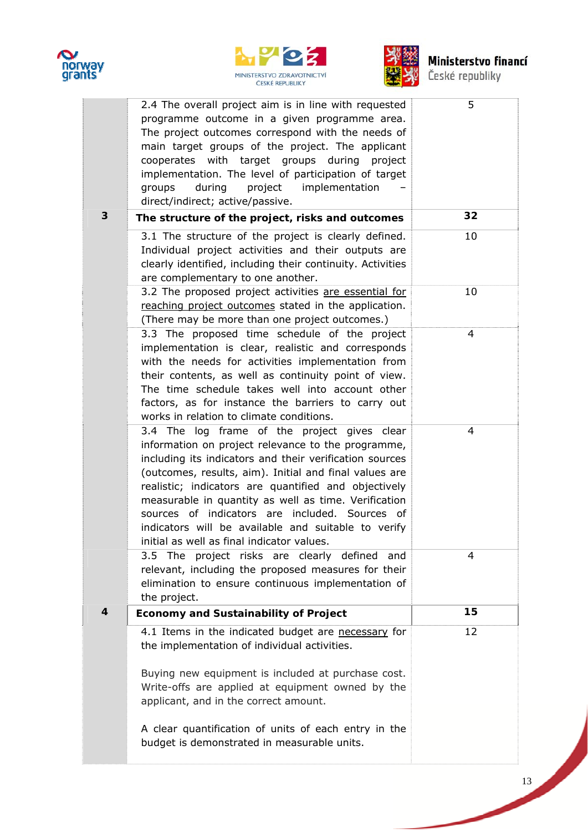





# **Ministerstvo financí**<br>České republiky

|                  | 2.4 The overall project aim is in line with requested<br>programme outcome in a given programme area.<br>The project outcomes correspond with the needs of<br>main target groups of the project. The applicant<br>cooperates with target groups during project<br>implementation. The level of participation of target<br>during<br>project implementation<br>groups<br>direct/indirect; active/passive.                                                                                       | 5              |
|------------------|------------------------------------------------------------------------------------------------------------------------------------------------------------------------------------------------------------------------------------------------------------------------------------------------------------------------------------------------------------------------------------------------------------------------------------------------------------------------------------------------|----------------|
| 3                | The structure of the project, risks and outcomes                                                                                                                                                                                                                                                                                                                                                                                                                                               | 32             |
|                  | 3.1 The structure of the project is clearly defined.<br>Individual project activities and their outputs are<br>clearly identified, including their continuity. Activities<br>are complementary to one another.                                                                                                                                                                                                                                                                                 | 10             |
|                  | 3.2 The proposed project activities are essential for<br>reaching project outcomes stated in the application.<br>(There may be more than one project outcomes.)                                                                                                                                                                                                                                                                                                                                | 10             |
|                  | 3.3 The proposed time schedule of the project<br>implementation is clear, realistic and corresponds<br>with the needs for activities implementation from<br>their contents, as well as continuity point of view.<br>The time schedule takes well into account other<br>factors, as for instance the barriers to carry out<br>works in relation to climate conditions.                                                                                                                          | 4              |
|                  | 3.4 The log frame of the project gives clear<br>information on project relevance to the programme,<br>including its indicators and their verification sources<br>(outcomes, results, aim). Initial and final values are<br>realistic; indicators are quantified and objectively<br>measurable in quantity as well as time. Verification<br>sources of indicators are included. Sources of<br>indicators will be available and suitable to verify<br>initial as well as final indicator values. | $\overline{4}$ |
|                  | 3.5 The project risks are clearly defined and<br>relevant, including the proposed measures for their<br>elimination to ensure continuous implementation of<br>the project.                                                                                                                                                                                                                                                                                                                     | $\overline{4}$ |
| $\boldsymbol{4}$ | <b>Economy and Sustainability of Project</b>                                                                                                                                                                                                                                                                                                                                                                                                                                                   | 15             |
|                  | 4.1 Items in the indicated budget are necessary for<br>the implementation of individual activities.<br>Buying new equipment is included at purchase cost.<br>Write-offs are applied at equipment owned by the<br>applicant, and in the correct amount.<br>A clear quantification of units of each entry in the<br>budget is demonstrated in measurable units.                                                                                                                                  | 12             |

**September 1999**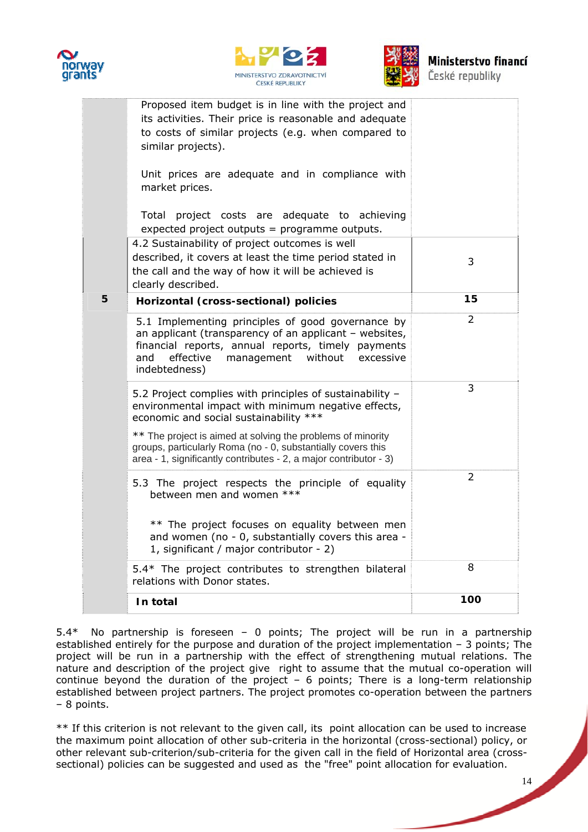





| České republiky |  |  |  |
|-----------------|--|--|--|
|                 |  |  |  |
|                 |  |  |  |

|   | Proposed item budget is in line with the project and<br>its activities. Their price is reasonable and adequate<br>to costs of similar projects (e.g. when compared to<br>similar projects).                                                  |                |
|---|----------------------------------------------------------------------------------------------------------------------------------------------------------------------------------------------------------------------------------------------|----------------|
|   | Unit prices are adequate and in compliance with<br>market prices.                                                                                                                                                                            |                |
|   | Total project costs are adequate to achieving<br>expected project outputs = programme outputs.                                                                                                                                               |                |
|   | 4.2 Sustainability of project outcomes is well<br>described, it covers at least the time period stated in<br>the call and the way of how it will be achieved is<br>clearly described.                                                        | 3              |
| 5 | Horizontal (cross-sectional) policies                                                                                                                                                                                                        | 15             |
|   | 5.1 Implementing principles of good governance by<br>an applicant (transparency of an applicant - websites,<br>financial reports, annual reports, timely payments<br>effective<br>without<br>management<br>and<br>excessive<br>indebtedness) | 2              |
|   | 5.2 Project complies with principles of sustainability -<br>environmental impact with minimum negative effects,<br>economic and social sustainability ***                                                                                    | 3              |
|   | ** The project is aimed at solving the problems of minority<br>groups, particularly Roma (no - 0, substantially covers this<br>area - 1, significantly contributes - 2, a major contributor - 3)                                             |                |
|   | 5.3 The project respects the principle of equality<br>between men and women ***                                                                                                                                                              | $\overline{2}$ |
|   | ** The project focuses on equality between men<br>and women (no - 0, substantially covers this area -<br>1, significant / major contributor - 2)                                                                                             |                |
|   | 5.4* The project contributes to strengthen bilateral<br>relations with Donor states.                                                                                                                                                         | 8              |
|   | In total                                                                                                                                                                                                                                     | 100            |
|   |                                                                                                                                                                                                                                              |                |

5.4\* No partnership is foreseen – 0 points; The project will be run in a partnership established entirely for the purpose and duration of the project implementation – 3 points; The project will be run in a partnership with the effect of strengthening mutual relations. The nature and description of the project give right to assume that the mutual co-operation will continue beyond the duration of the project – 6 points; There is a long-term relationship established between project partners. The project promotes co-operation between the partners – 8 points.

\*\* If this criterion is not relevant to the given call, its point allocation can be used to increase the maximum point allocation of other sub-criteria in the horizontal (cross-sectional) policy, or other relevant sub-criterion/sub-criteria for the given call in the field of Horizontal area (crosssectional) policies can be suggested and used as the "free" point allocation for evaluation.